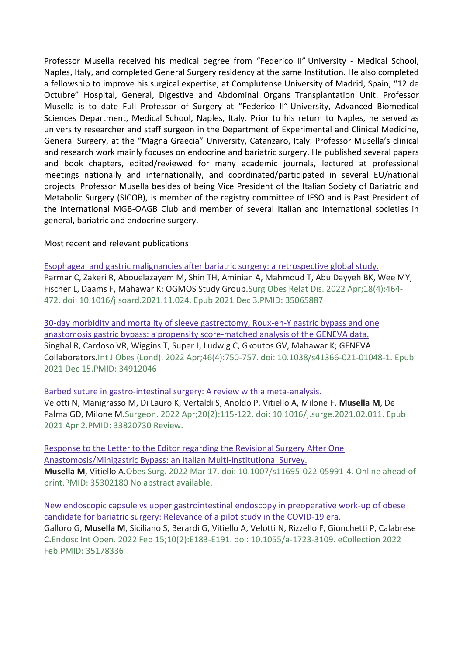Professor Musella received his medical degree from "Federico II" University - Medical School, Naples, Italy, and completed General Surgery residency at the same Institution. He also completed a fellowship to improve his surgical expertise, at Complutense University of Madrid, Spain, "12 de Octubre" Hospital, General, Digestive and Abdominal Organs Transplantation Unit. Professor Musella is to date Full Professor of Surgery at "Federico II" University, Advanced Biomedical Sciences Department, Medical School, Naples, Italy. Prior to his return to Naples, he served as university researcher and staff surgeon in the Department of Experimental and Clinical Medicine, General Surgery, at the "Magna Graecia" University, Catanzaro, Italy. Professor Musella's clinical and research work mainly focuses on endocrine and bariatric surgery. He published several papers and book chapters, edited/reviewed for many academic journals, lectured at professional meetings nationally and internationally, and coordinated/participated in several EU/national projects. Professor Musella besides of being Vice President of the Italian Society of Bariatric and Metabolic Surgery (SICOB), is member of the registry committee of IFSO and is Past President of the International MGB-OAGB Club and member of several Italian and international societies in general, bariatric and endocrine surgery.

Most recent and relevant publications

[Esophageal and gastric malignancies after bariatric surgery: a](https://pubmed.ncbi.nlm.nih.gov/35065887/) retrospective global study. Parmar C, Zakeri R, Abouelazayem M, Shin TH, Aminian A, Mahmoud T, Abu Dayyeh BK, Wee MY, Fischer L, Daams F, Mahawar K; OGMOS Study Group.Surg Obes Relat Dis. 2022 Apr;18(4):464- 472. doi: 10.1016/j.soard.2021.11.024. Epub 2021 Dec 3.PMID: 35065887

[30-day morbidity and mortality of sleeve gastrectomy, Roux-en-Y gastric bypass and one](https://pubmed.ncbi.nlm.nih.gov/34912046/)  [anastomosis gastric bypass: a propensity score-matched analysis of the GENEVA data.](https://pubmed.ncbi.nlm.nih.gov/34912046/) Singhal R, Cardoso VR, Wiggins T, Super J, Ludwig C, Gkoutos GV, Mahawar K; GENEVA Collaborators.Int J Obes (Lond). 2022 Apr;46(4):750-757. doi: 10.1038/s41366-021-01048-1. Epub 2021 Dec 15.PMID: 34912046

[Barbed suture in gastro-intestinal surgery: A review with a meta-analysis.](https://pubmed.ncbi.nlm.nih.gov/33820730/) Velotti N, Manigrasso M, Di Lauro K, Vertaldi S, Anoldo P, Vitiello A, Milone F, **Musella M**, De Palma GD, Milone M.Surgeon. 2022 Apr;20(2):115-122. doi: 10.1016/j.surge.2021.02.011. Epub 2021 Apr 2.PMID: 33820730 Review.

[Response to the Letter to the Editor regarding the Revisional Surgery After One](https://pubmed.ncbi.nlm.nih.gov/35302180/)  [Anastomosis/Minigastric Bypass: an Italian Multi-institutional Survey.](https://pubmed.ncbi.nlm.nih.gov/35302180/) **Musella M**, Vitiello A.Obes Surg. 2022 Mar 17. doi: 10.1007/s11695-022-05991-4. Online ahead of print.PMID: 35302180 No abstract available.

[New endoscopic capsule vs upper gastrointestinal endoscopy in preoperative work-up of obese](https://pubmed.ncbi.nlm.nih.gov/35178336/)  [candidate for bariatric surgery: Relevance of a pilot study in the COVID-19 era.](https://pubmed.ncbi.nlm.nih.gov/35178336/) Galloro G, **Musella M**, Siciliano S, Berardi G, Vitiello A, Velotti N, Rizzello F, Gionchetti P, Calabrese C.Endosc Int Open. 2022 Feb 15;10(2):E183-E191. doi: 10.1055/a-1723-3109. eCollection 2022 Feb.PMID: 35178336